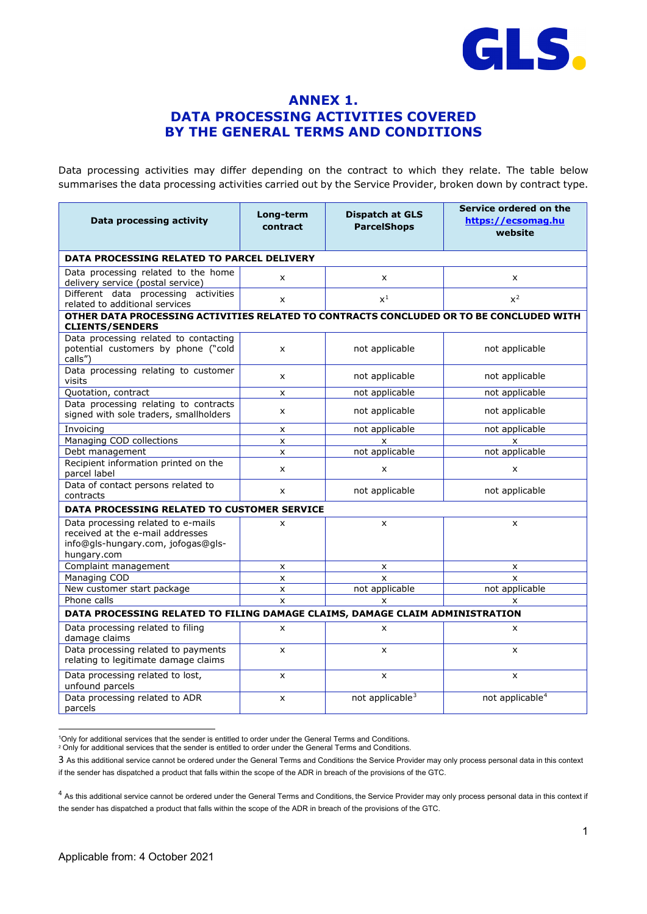

# **ANNEX 1. DATA PROCESSING ACTIVITIES COVERED BY THE GENERAL TERMS AND CONDITIONS**

Data processing activities may differ depending on the contract to which they relate. The table below summarises the data processing activities carried out by the Service Provider, broken down by contract type.

| Data processing activity                                                                                                    | Long-term<br>contract | Service ordered on the<br><b>Dispatch at GLS</b><br>https://ecsomag.hu<br><b>ParcelShops</b><br>website |                             |  |  |  |  |  |
|-----------------------------------------------------------------------------------------------------------------------------|-----------------------|---------------------------------------------------------------------------------------------------------|-----------------------------|--|--|--|--|--|
| DATA PROCESSING RELATED TO PARCEL DELIVERY                                                                                  |                       |                                                                                                         |                             |  |  |  |  |  |
| Data processing related to the home<br>delivery service (postal service)                                                    | X                     | $\boldsymbol{\mathsf{x}}$                                                                               | X                           |  |  |  |  |  |
| Different data processing activities<br>related to additional services                                                      | $x^1$<br>x            |                                                                                                         | $x^2$                       |  |  |  |  |  |
| OTHER DATA PROCESSING ACTIVITIES RELATED TO CONTRACTS CONCLUDED OR TO BE CONCLUDED WITH<br><b>CLIENTS/SENDERS</b>           |                       |                                                                                                         |                             |  |  |  |  |  |
| Data processing related to contacting<br>potential customers by phone ("cold<br>calls")                                     | X                     | not applicable                                                                                          | not applicable              |  |  |  |  |  |
| Data processing relating to customer<br>visits                                                                              | x                     | not applicable                                                                                          | not applicable              |  |  |  |  |  |
| Quotation, contract                                                                                                         | x                     | not applicable                                                                                          | not applicable              |  |  |  |  |  |
| Data processing relating to contracts<br>signed with sole traders, smallholders                                             | x                     | not applicable                                                                                          | not applicable              |  |  |  |  |  |
| Invoicing                                                                                                                   | $\mathsf{x}$          | not applicable                                                                                          | not applicable              |  |  |  |  |  |
| Managing COD collections                                                                                                    | $\pmb{\mathsf{x}}$    | X                                                                                                       | x                           |  |  |  |  |  |
| Debt management                                                                                                             | $\mathsf{x}$          | not applicable                                                                                          | not applicable              |  |  |  |  |  |
| Recipient information printed on the<br>parcel label                                                                        | x                     | X                                                                                                       | X                           |  |  |  |  |  |
| Data of contact persons related to<br>contracts                                                                             | x                     | not applicable                                                                                          | not applicable              |  |  |  |  |  |
| DATA PROCESSING RELATED TO CUSTOMER SERVICE                                                                                 |                       |                                                                                                         |                             |  |  |  |  |  |
| Data processing related to e-mails<br>received at the e-mail addresses<br>info@gls-hungary.com, jofogas@gls-<br>hungary.com | X                     | X                                                                                                       | $\mathsf{x}$                |  |  |  |  |  |
| Complaint management                                                                                                        | $\mathsf{x}$          | X                                                                                                       | $\mathsf{x}$                |  |  |  |  |  |
| <b>Managing COD</b>                                                                                                         | $\pmb{\times}$        | $\mathsf{x}$                                                                                            | $\mathsf{x}$                |  |  |  |  |  |
| New customer start package                                                                                                  | X                     | not applicable                                                                                          | not applicable              |  |  |  |  |  |
| Phone calls                                                                                                                 | $\mathsf{x}$          | $\mathsf{x}$                                                                                            | $\mathsf{x}$                |  |  |  |  |  |
| DATA PROCESSING RELATED TO FILING DAMAGE CLAIMS, DAMAGE CLAIM ADMINISTRATION                                                |                       |                                                                                                         |                             |  |  |  |  |  |
| Data processing related to filing<br>damage claims                                                                          | $\mathsf{x}$          | $\pmb{\times}$                                                                                          | X                           |  |  |  |  |  |
| Data processing related to payments<br>relating to legitimate damage claims                                                 | x                     | X                                                                                                       | X                           |  |  |  |  |  |
| Data processing related to lost,<br>unfound parcels                                                                         | $\pmb{\times}$        | $\pmb{\times}$                                                                                          | $\boldsymbol{\mathsf{x}}$   |  |  |  |  |  |
| Data processing related to ADR<br>parcels                                                                                   | x                     | not applicable <sup>3</sup>                                                                             | not applicable <sup>4</sup> |  |  |  |  |  |

<span id="page-0-1"></span><span id="page-0-0"></span><sup>1</sup>Only for additional services that the sender is entitled to order under the General Terms and Conditions.

 $2$  Only for additional services that the sender is entitled to order under the General Terms and Conditions.

<span id="page-0-2"></span><sup>3</sup> As this additional service cannot be ordered under the General Terms and Conditions the Service Provider may only process personal data in this context if the sender has dispatched a product that falls within the scope of the ADR in breach of the provisions of the GTC.

<span id="page-0-3"></span><sup>&</sup>lt;sup>4</sup> As this additional service cannot be ordered under the General Terms and Conditions, the Service Provider may only process personal data in this context if the sender has dispatched a product that falls within the scope of the ADR in breach of the provisions of the GTC.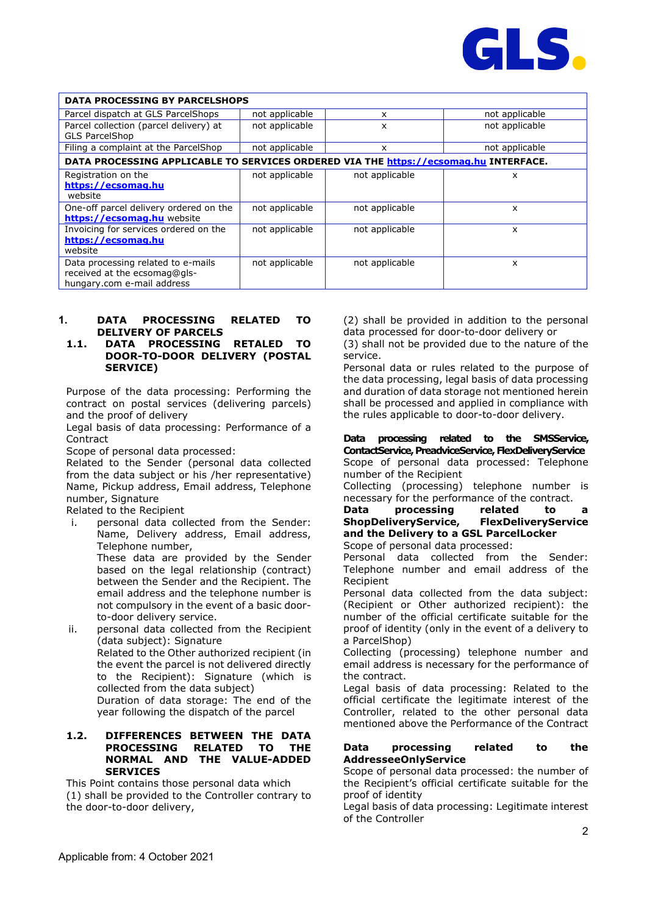

| <b>DATA PROCESSING BY PARCELSHOPS</b>                                                            |                     |                |                |  |  |  |
|--------------------------------------------------------------------------------------------------|---------------------|----------------|----------------|--|--|--|
| Parcel dispatch at GLS ParcelShops                                                               | not applicable<br>x |                | not applicable |  |  |  |
| Parcel collection (parcel delivery) at<br><b>GLS ParcelShop</b>                                  | not applicable      | x              | not applicable |  |  |  |
| Filing a complaint at the ParcelShop                                                             | not applicable      | x              | not applicable |  |  |  |
| DATA PROCESSING APPLICABLE TO SERVICES ORDERED VIA THE https://ecsomag.hu INTERFACE.             |                     |                |                |  |  |  |
| Registration on the<br>https://ecsomag.hu<br>website                                             | not applicable      | not applicable | x              |  |  |  |
| One-off parcel delivery ordered on the<br>https://ecsomag.hu website                             | not applicable      | not applicable | x              |  |  |  |
| Invoicing for services ordered on the<br>https://ecsomag.hu<br>website                           | not applicable      | not applicable | x              |  |  |  |
| Data processing related to e-mails<br>received at the ecsomag@gls-<br>hungary.com e-mail address | not applicable      | not applicable | x              |  |  |  |

# **1. DATA PROCESSING RELATED TO DELIVERY OF PARCELS**

### **1.1. DATA PROCESSING RETALED TO DOOR-TO-DOOR DELIVERY (POSTAL SERVICE)**

Purpose of the data processing: Performing the contract on postal services (delivering parcels) and the proof of delivery

Legal basis of data processing: Performance of a **Contract** 

Scope of personal data processed:

Related to the Sender (personal data collected from the data subject or his /her representative) Name, Pickup address, Email address, Telephone number, Signature

Related to the Recipient

i. personal data collected from the Sender: Name, Delivery address, Email address, Telephone number, These data are provided by the Sender

based on the legal relationship (contract) between the Sender and the Recipient. The email address and the telephone number is not compulsory in the event of a basic doorto-door delivery service.

ii. personal data collected from the Recipient (data subject): Signature Related to the Other authorized recipient (in the event the parcel is not delivered directly to the Recipient): Signature (which is collected from the data subject) Duration of data storage: The end of the year following the dispatch of the parcel

### **1.2. DIFFERENCES BETWEEN THE DATA PROCESSING RELATED TO THE NORMAL AND THE VALUE-ADDED SERVICES**

This Point contains those personal data which (1) shall be provided to the Controller contrary to the door-to-door delivery,

(2) shall be provided in addition to the personal data processed for door-to-door delivery or

(3) shall not be provided due to the nature of the service.

Personal data or rules related to the purpose of the data processing, legal basis of data processing and duration of data storage not mentioned herein shall be processed and applied in compliance with the rules applicable to door-to-door delivery.

**Data processing related to the SMSService, ContactService,PreadviceService, FlexDeliveryService**  Scope of personal data processed: Telephone number of the Recipient

Collecting (processing) telephone number is necessary for the performance of the contract.

#### **Data processing related to ShopDeliveryService, FlexDeliveryService and the Delivery to a GSL ParcelLocker**  Scope of personal data processed:

Personal data collected from the Sender: Telephone number and email address of the Recipient

Personal data collected from the data subject: (Recipient or Other authorized recipient): the number of the official certificate suitable for the proof of identity (only in the event of a delivery to a ParcelShop)

Collecting (processing) telephone number and email address is necessary for the performance of the contract.

Legal basis of data processing: Related to the official certificate the legitimate interest of the Controller, related to the other personal data mentioned above the Performance of the Contract

### **Data processing related to the AddresseeOnlyService**

Scope of personal data processed: the number of the Recipient's official certificate suitable for the proof of identity

Legal basis of data processing: Legitimate interest of the Controller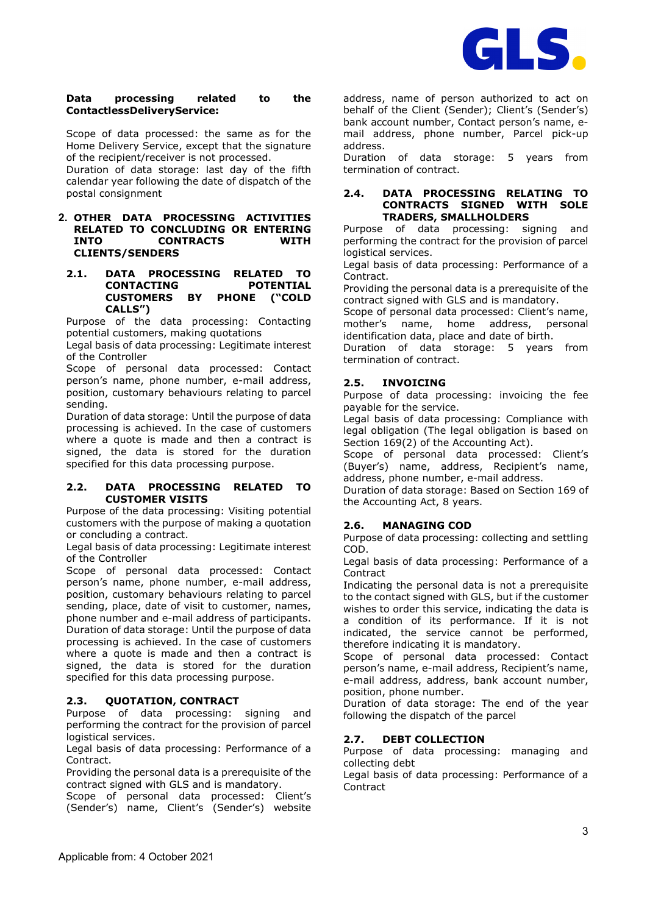

### **Data processing related to the ContactlessDeliveryService:**

Scope of data processed: the same as for the Home Delivery Service, except that the signature of the recipient/receiver is not processed.

Duration of data storage: last day of the fifth calendar year following the date of dispatch of the postal consignment

#### **2. OTHER DATA PROCESSING ACTIVITIES RELATED TO CONCLUDING OR ENTERING INTO CONTRACTS WITH CLIENTS/SENDERS**

### **2.1. DATA PROCESSING RELATED TO CONTACTING POTENTIAL CUSTOMERS BY PHONE ("COLD CALLS")**

Purpose of the data processing: Contacting potential customers, making quotations

Legal basis of data processing: Legitimate interest of the Controller

Scope of personal data processed: Contact person's name, phone number, e-mail address, position, customary behaviours relating to parcel sending.

Duration of data storage: Until the purpose of data processing is achieved. In the case of customers where a quote is made and then a contract is signed, the data is stored for the duration specified for this data processing purpose.

# **2.2. DATA PROCESSING RELATED TO CUSTOMER VISITS**

Purpose of the data processing: Visiting potential customers with the purpose of making a quotation or concluding a contract.

Legal basis of data processing: Legitimate interest of the Controller

Scope of personal data processed: Contact person's name, phone number, e-mail address, position, customary behaviours relating to parcel sending, place, date of visit to customer, names, phone number and e-mail address of participants. Duration of data storage: Until the purpose of data processing is achieved. In the case of customers where a quote is made and then a contract is signed, the data is stored for the duration specified for this data processing purpose.

# **2.3. QUOTATION, CONTRACT**

Purpose of data processing: signing and performing the contract for the provision of parcel logistical services.

Legal basis of data processing: Performance of a Contract.

Providing the personal data is a prerequisite of the contract signed with GLS and is mandatory.

Scope of personal data processed: Client's (Sender's) name, Client's (Sender's) website address, name of person authorized to act on behalf of the Client (Sender); Client's (Sender's) bank account number, Contact person's name, email address, phone number, Parcel pick-up address.

Duration of data storage: 5 years from termination of contract.

# **2.4. DATA PROCESSING RELATING TO CONTRACTS SIGNED WITH SOLE TRADERS, SMALLHOLDERS**

Purpose of data processing: signing and performing the contract for the provision of parcel logistical services.

Legal basis of data processing: Performance of a Contract.

Providing the personal data is a prerequisite of the contract signed with GLS and is mandatory.

Scope of personal data processed: Client's name, mother's name, home address, personal identification data, place and date of birth.

Duration of data storage: 5 years from termination of contract.

# **2.5. INVOICING**

Purpose of data processing: invoicing the fee payable for the service.

Legal basis of data processing: Compliance with legal obligation (The legal obligation is based on Section 169(2) of the Accounting Act).

Scope of personal data processed: Client's (Buyer's) name, address, Recipient's name, address, phone number, e-mail address.

Duration of data storage: Based on Section 169 of the Accounting Act, 8 years.

# **2.6. MANAGING COD**

Purpose of data processing: collecting and settling COD.

Legal basis of data processing: Performance of a **Contract** 

Indicating the personal data is not a prerequisite to the contact signed with GLS, but if the customer wishes to order this service, indicating the data is a condition of its performance. If it is not indicated, the service cannot be performed, therefore indicating it is mandatory.

Scope of personal data processed: Contact person's name, e-mail address, Recipient's name, e-mail address, address, bank account number, position, phone number.

Duration of data storage: The end of the year following the dispatch of the parcel

# **2.7. DEBT COLLECTION**

Purpose of data processing: managing and collecting debt

Legal basis of data processing: Performance of a **Contract**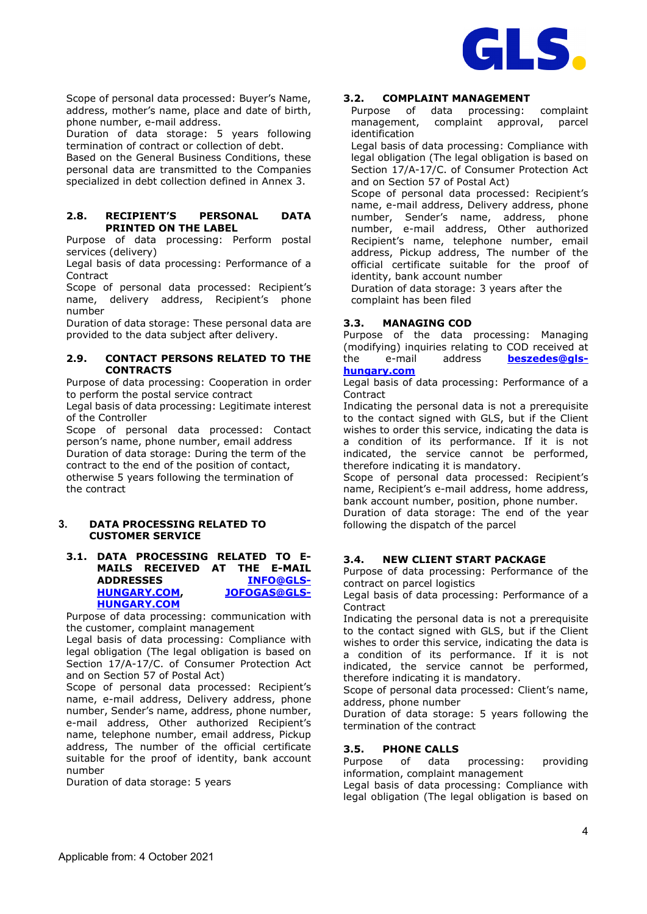

Scope of personal data processed: Buyer's Name, address, mother's name, place and date of birth, phone number, e-mail address.

Duration of data storage: 5 years following termination of contract or collection of debt.

Based on the General Business Conditions, these personal data are transmitted to the Companies specialized in debt collection defined in Annex 3.

# **2.8. RECIPIENT'S PERSONAL DATA PRINTED ON THE LABEL**

Purpose of data processing: Perform postal services (delivery)

Legal basis of data processing: Performance of a Contract

Scope of personal data processed: Recipient's name, delivery address, Recipient's phone number

Duration of data storage: These personal data are provided to the data subject after delivery.

### **2.9. CONTACT PERSONS RELATED TO THE CONTRACTS**

Purpose of data processing: Cooperation in order to perform the postal service contract

Legal basis of data processing: Legitimate interest of the Controller

Scope of personal data processed: Contact person's name, phone number, email address Duration of data storage: During the term of the contract to the end of the position of contact, otherwise 5 years following the termination of the contract

# **3. DATA PROCESSING RELATED TO CUSTOMER SERVICE**

### **3.1. DATA PROCESSING RELATED TO E-MAILS RECEIVED AT THE E-MAIL ADDRESSES [INFO@GLS-](mailto:info@gls-hungary.com)[HUNGARY.COM,](mailto:info@gls-hungary.com) [HUNGARY.COM](mailto:jofogas@gls-hungary.com)**

Purpose of data processing: communication with the customer, complaint management

Legal basis of data processing: Compliance with legal obligation (The legal obligation is based on Section 17/A-17/C. of Consumer Protection Act and on Section 57 of Postal Act)

Scope of personal data processed: Recipient's name, e-mail address, Delivery address, phone number, Sender's name, address, phone number, e-mail address, Other authorized Recipient's name, telephone number, email address, Pickup address, The number of the official certificate suitable for the proof of identity, bank account number

Duration of data storage: 5 years

# **3.2. COMPLAINT MANAGEMENT**

Purpose of data processing: complaint management, complaint approval, parcel identification

Legal basis of data processing: Compliance with legal obligation (The legal obligation is based on Section 17/A-17/C. of Consumer Protection Act and on Section 57 of Postal Act)

Scope of personal data processed: Recipient's name, e-mail address, Delivery address, phone number, Sender's name, address, phone number, e-mail address, Other authorized Recipient's name, telephone number, email address, Pickup address, The number of the official certificate suitable for the proof of identity, bank account number

Duration of data storage: 3 years after the complaint has been filed

# **3.3. MANAGING COD**

Purpose of the data processing: Managing (modifying) inquiries relating to COD received at the e-mail address **[beszedes@gls-](mailto:beszedes@gls-hungary.com)**

### **[hungary.com](mailto:beszedes@gls-hungary.com)**

Legal basis of data processing: Performance of a **Contract** 

Indicating the personal data is not a prerequisite to the contact signed with GLS, but if the Client wishes to order this service, indicating the data is a condition of its performance. If it is not indicated, the service cannot be performed, therefore indicating it is mandatory.

Scope of personal data processed: Recipient's name, Recipient's e-mail address, home address, bank account number, position, phone number.

Duration of data storage: The end of the year following the dispatch of the parcel

# **3.4. NEW CLIENT START PACKAGE**

Purpose of data processing: Performance of the contract on parcel logistics

Legal basis of data processing: Performance of a **Contract** 

Indicating the personal data is not a prerequisite to the contact signed with GLS, but if the Client wishes to order this service, indicating the data is a condition of its performance. If it is not indicated, the service cannot be performed, therefore indicating it is mandatory.

Scope of personal data processed: Client's name, address, phone number

Duration of data storage: 5 years following the termination of the contract

# **3.5. PHONE CALLS**

Purpose of data processing: providing information, complaint management

Legal basis of data processing: Compliance with legal obligation (The legal obligation is based on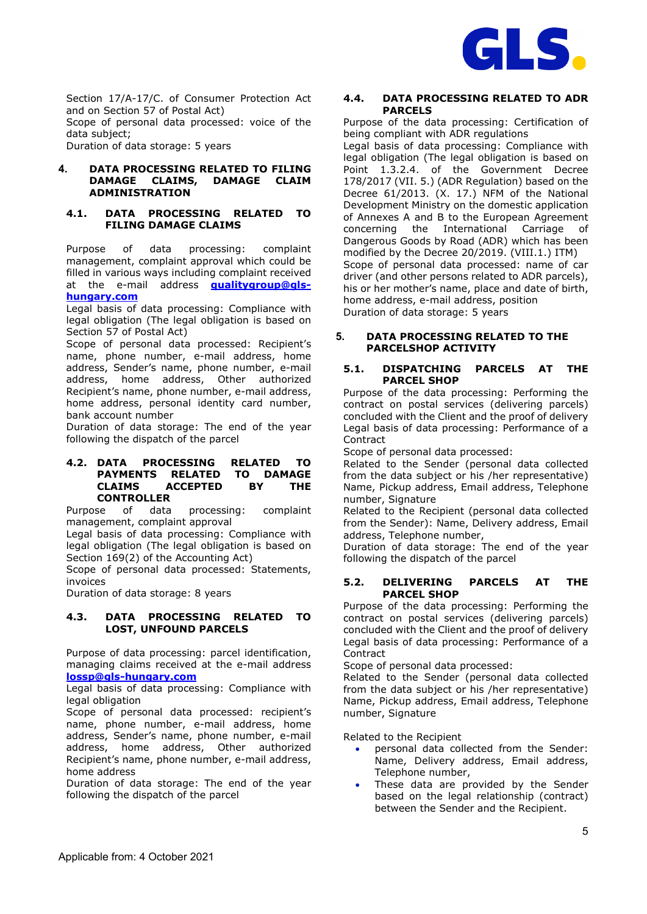

Section 17/A-17/C. of Consumer Protection Act and on Section 57 of Postal Act)

Scope of personal data processed: voice of the data subject;

Duration of data storage: 5 years

### **4. DATA PROCESSING RELATED TO FILING DAMAGE CLAIMS, DAMAGE CLAIM ADMINISTRATION**

### **4.1. DATA PROCESSING RELATED TO FILING DAMAGE CLAIMS**

Purpose of data processing: complaint management, complaint approval which could be filled in various ways including complaint received at the e-mail address **[qualitygroup@gls](mailto:qualitygroup@gls-hungary.com)[hungary.com](mailto:qualitygroup@gls-hungary.com)**

Legal basis of data processing: Compliance with legal obligation (The legal obligation is based on Section 57 of Postal Act)

Scope of personal data processed: Recipient's name, phone number, e-mail address, home address, Sender's name, phone number, e-mail address, home address, Other authorized Recipient's name, phone number, e-mail address, home address, personal identity card number, bank account number

Duration of data storage: The end of the year following the dispatch of the parcel

#### **4.2. DATA PROCESSING RELATED TO PAYMENTS RELATED TO DAMAGE CLAIMS ACCEPTED BY THE CONTROLLER**

Purpose of data processing: complaint management, complaint approval

Legal basis of data processing: Compliance with legal obligation (The legal obligation is based on Section 169(2) of the Accounting Act)

Scope of personal data processed: Statements, invoices

Duration of data storage: 8 years

### **4.3. DATA PROCESSING RELATED TO LOST, UNFOUND PARCELS**

Purpose of data processing: parcel identification, managing claims received at the e-mail address **[lossp@gls-hungary.com](mailto:lossp@gls-hungary.com)**

Legal basis of data processing: Compliance with legal obligation

Scope of personal data processed: recipient's name, phone number, e-mail address, home address, Sender's name, phone number, e-mail address, home address, Other authorized Recipient's name, phone number, e-mail address, home address

Duration of data storage: The end of the year following the dispatch of the parcel

# **4.4. DATA PROCESSING RELATED TO ADR PARCELS**

Purpose of the data processing: Certification of being compliant with ADR regulations

Legal basis of data processing: Compliance with legal obligation (The legal obligation is based on Point 1.3.2.4. of the Government Decree 178/2017 (VII. 5.) (ADR Regulation) based on the Decree 61/2013. (X. 17.) NFM of the National Development Ministry on the domestic application of Annexes A and B to the European Agreement concerning the International Carriage of Dangerous Goods by Road (ADR) which has been modified by the Decree 20/2019. (VIII.1.) ITM) Scope of personal data processed: name of car driver (and other persons related to ADR parcels), his or her mother's name, place and date of birth, home address, e-mail address, position Duration of data storage: 5 years

### **5. DATA PROCESSING RELATED TO THE PARCELSHOP ACTIVITY**

# **5.1. DISPATCHING PARCELS AT THE PARCEL SHOP**

Purpose of the data processing: Performing the contract on postal services (delivering parcels) concluded with the Client and the proof of delivery Legal basis of data processing: Performance of a Contract

Scope of personal data processed:

Related to the Sender (personal data collected from the data subject or his /her representative) Name, Pickup address, Email address, Telephone number, Signature

Related to the Recipient (personal data collected from the Sender): Name, Delivery address, Email address, Telephone number,

Duration of data storage: The end of the year following the dispatch of the parcel

# **5.2. DELIVERING PARCELS AT THE PARCEL SHOP**

Purpose of the data processing: Performing the contract on postal services (delivering parcels) concluded with the Client and the proof of delivery Legal basis of data processing: Performance of a Contract

Scope of personal data processed:

Related to the Sender (personal data collected from the data subject or his /her representative) Name, Pickup address, Email address, Telephone number, Signature

Related to the Recipient

- personal data collected from the Sender: Name, Delivery address, Email address, Telephone number,
- These data are provided by the Sender based on the legal relationship (contract) between the Sender and the Recipient.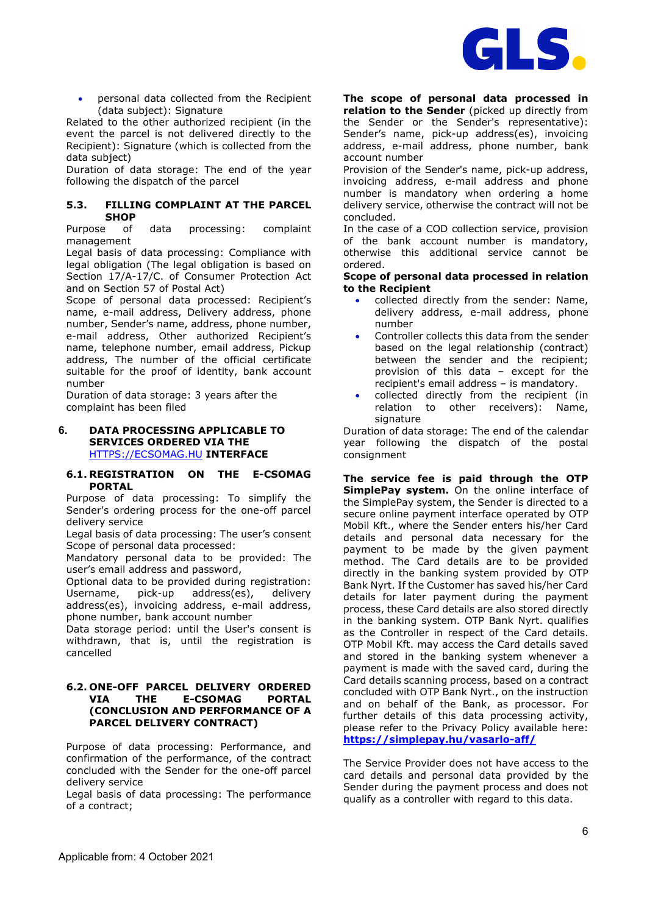

• personal data collected from the Recipient (data subject): Signature

Related to the other authorized recipient (in the event the parcel is not delivered directly to the Recipient): Signature (which is collected from the data subject)

Duration of data storage: The end of the year following the dispatch of the parcel

### **5.3. FILLING COMPLAINT AT THE PARCEL SHOP**

Purpose of data processing: complaint management

Legal basis of data processing: Compliance with legal obligation (The legal obligation is based on Section 17/A-17/C. of Consumer Protection Act and on Section 57 of Postal Act)

Scope of personal data processed: Recipient's name, e-mail address, Delivery address, phone number, Sender's name, address, phone number, e-mail address, Other authorized Recipient's name, telephone number, email address, Pickup address, The number of the official certificate suitable for the proof of identity, bank account number

Duration of data storage: 3 years after the complaint has been filed

#### **6. DATA PROCESSING APPLICABLE TO SERVICES ORDERED VIA THE**  [HTTPS://ECSOMAG.HU](http://www.ecsomag.hu/) **INTERFACE**

### **6.1. REGISTRATION ON THE E-CSOMAG PORTAL**

Purpose of data processing: To simplify the Sender's ordering process for the one-off parcel delivery service

Legal basis of data processing: The user's consent Scope of personal data processed:

Mandatory personal data to be provided: The user's email address and password,

Optional data to be provided during registration: Username, pick-up address(es), delivery address(es), invoicing address, e-mail address, phone number, bank account number

Data storage period: until the User's consent is withdrawn, that is, until the registration is cancelled

### **6.2. ONE-OFF PARCEL DELIVERY ORDERED VIA THE E-CSOMAG PORTAL (CONCLUSION AND PERFORMANCE OF A PARCEL DELIVERY CONTRACT)**

Purpose of data processing: Performance, and confirmation of the performance, of the contract concluded with the Sender for the one-off parcel delivery service

Legal basis of data processing: The performance of a contract;

**The scope of personal data processed in relation to the Sender** (picked up directly from the Sender or the Sender's representative): Sender's name, pick-up address(es), invoicing address, e-mail address, phone number, bank account number

Provision of the Sender's name, pick-up address, invoicing address, e-mail address and phone number is mandatory when ordering a home delivery service, otherwise the contract will not be concluded.

In the case of a COD collection service, provision of the bank account number is mandatory, otherwise this additional service cannot be ordered.

**Scope of personal data processed in relation to the Recipient** 

- collected directly from the sender: Name, delivery address, e-mail address, phone number
- Controller collects this data from the sender based on the legal relationship (contract) between the sender and the recipient; provision of this data – except for the recipient's email address – is mandatory.
- collected directly from the recipient (in relation to other receivers): Name, signature

Duration of data storage: The end of the calendar year following the dispatch of the postal consignment

**The service fee is paid through the OTP SimplePay system.** On the online interface of the SimplePay system, the Sender is directed to a secure online payment interface operated by OTP Mobil Kft., where the Sender enters his/her Card details and personal data necessary for the payment to be made by the given payment method. The Card details are to be provided directly in the banking system provided by OTP Bank Nyrt. If the Customer has saved his/her Card details for later payment during the payment process, these Card details are also stored directly in the banking system. OTP Bank Nyrt. qualifies as the Controller in respect of the Card details. OTP Mobil Kft. may access the Card details saved and stored in the banking system whenever a payment is made with the saved card, during the Card details scanning process, based on a contract concluded with OTP Bank Nyrt., on the instruction and on behalf of the Bank, as processor. For further details of this data processing activity, please refer to the Privacy Policy available here: **<https://simplepay.hu/vasarlo-aff/>**

The Service Provider does not have access to the card details and personal data provided by the Sender during the payment process and does not qualify as a controller with regard to this data.